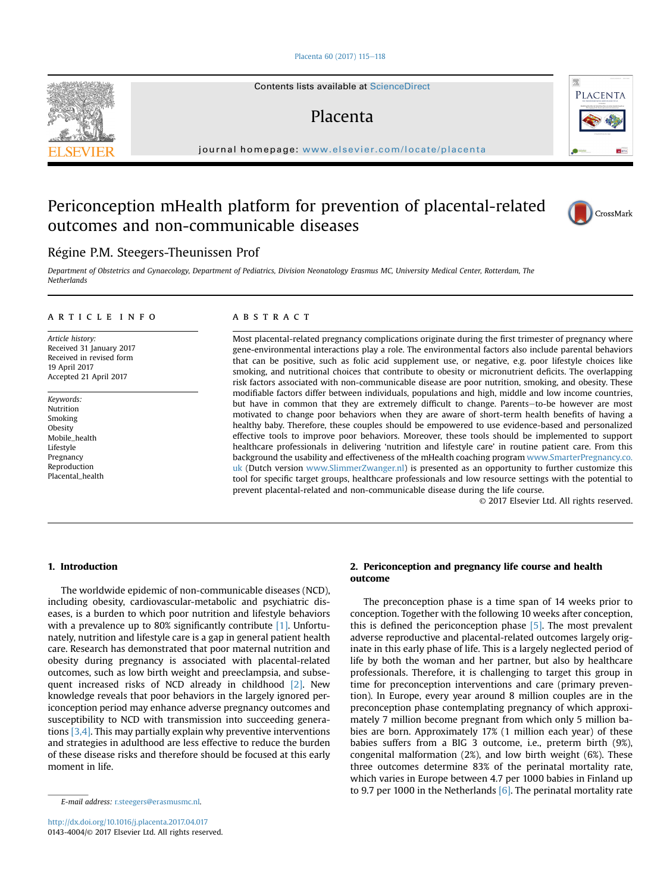# [Placenta 60 \(2017\) 115](http://dx.doi.org/10.1016/j.placenta.2017.04.017)-[118](http://dx.doi.org/10.1016/j.placenta.2017.04.017)

Contents lists available at ScienceDirect

# Placenta

journal homepage: [www.elsevier.com/locate/placenta](http://www.elsevier.com/locate/placenta)

# Periconception mHealth platform for prevention of placental-related outcomes and non-communicable diseases



Department of Obstetrics and Gynaecology, Department of Pediatrics, Division Neonatology Erasmus MC, University Medical Center, Rotterdam, The **Netherlands** 

#### article info

Article history: Received 31 January 2017 Received in revised form 19 April 2017 Accepted 21 April 2017

Keywords: Nutrition Smoking **Obesity** Mobile\_health Lifestyle Pregnancy Reproduction Placental\_health

# ABSTRACT

Most placental-related pregnancy complications originate during the first trimester of pregnancy where gene-environmental interactions play a role. The environmental factors also include parental behaviors that can be positive, such as folic acid supplement use, or negative, e.g. poor lifestyle choices like smoking, and nutritional choices that contribute to obesity or micronutrient deficits. The overlapping risk factors associated with non-communicable disease are poor nutrition, smoking, and obesity. These modifiable factors differ between individuals, populations and high, middle and low income countries, but have in common that they are extremely difficult to change. Parents-to-be however are most motivated to change poor behaviors when they are aware of short-term health benefits of having a healthy baby. Therefore, these couples should be empowered to use evidence-based and personalized effective tools to improve poor behaviors. Moreover, these tools should be implemented to support healthcare professionals in delivering 'nutrition and lifestyle care' in routine patient care. From this background the usability and effectiveness of the mHealth coaching program [www.SmarterPregnancy.co.](http://www.smarterpregnancy.co.uk) [uk](http://www.smarterpregnancy.co.uk) (Dutch version [www.SlimmerZwanger.nl](http://www.SlimmerZwanger.nl)) is presented as an opportunity to further customize this tool for specific target groups, healthcare professionals and low resource settings with the potential to prevent placental-related and non-communicable disease during the life course.

© 2017 Elsevier Ltd. All rights reserved.

## 1. Introduction

The worldwide epidemic of non-communicable diseases (NCD), including obesity, cardiovascular-metabolic and psychiatric diseases, is a burden to which poor nutrition and lifestyle behaviors with a prevalence up to 80% significantly contribute [\[1\]](#page-3-0). Unfortunately, nutrition and lifestyle care is a gap in general patient health care. Research has demonstrated that poor maternal nutrition and obesity during pregnancy is associated with placental-related outcomes, such as low birth weight and preeclampsia, and subsequent increased risks of NCD already in childhood [\[2\]](#page-3-0). New knowledge reveals that poor behaviors in the largely ignored periconception period may enhance adverse pregnancy outcomes and susceptibility to NCD with transmission into succeeding generations [\[3,4\]](#page-3-0). This may partially explain why preventive interventions and strategies in adulthood are less effective to reduce the burden of these disease risks and therefore should be focused at this early moment in life.

# 2. Periconception and pregnancy life course and health outcome

The preconception phase is a time span of 14 weeks prior to conception. Together with the following 10 weeks after conception, this is defined the periconception phase [\[5\].](#page-3-0) The most prevalent adverse reproductive and placental-related outcomes largely originate in this early phase of life. This is a largely neglected period of life by both the woman and her partner, but also by healthcare professionals. Therefore, it is challenging to target this group in time for preconception interventions and care (primary prevention). In Europe, every year around 8 million couples are in the preconception phase contemplating pregnancy of which approximately 7 million become pregnant from which only 5 million babies are born. Approximately 17% (1 million each year) of these babies suffers from a BIG 3 outcome, i.e., preterm birth (9%), congenital malformation (2%), and low birth weight (6%). These three outcomes determine 83% of the perinatal mortality rate, which varies in Europe between 4.7 per 1000 babies in Finland up to 9.7 per 1000 in the Netherlands  $[6]$ . The perinatal mortality rate







E-mail address: [r.steegers@erasmusmc.nl.](mailto:r.steegers@erasmusmc.nl)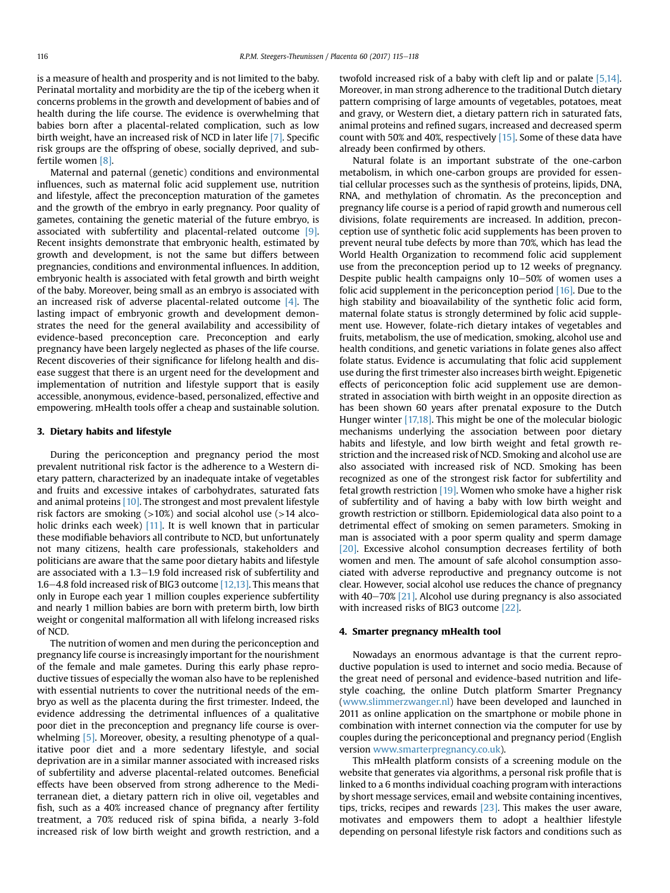is a measure of health and prosperity and is not limited to the baby. Perinatal mortality and morbidity are the tip of the iceberg when it concerns problems in the growth and development of babies and of health during the life course. The evidence is overwhelming that babies born after a placental-related complication, such as low birth weight, have an increased risk of NCD in later life [\[7\]](#page-3-0). Specific risk groups are the offspring of obese, socially deprived, and subfertile women [\[8\]](#page-3-0).

Maternal and paternal (genetic) conditions and environmental influences, such as maternal folic acid supplement use, nutrition and lifestyle, affect the preconception maturation of the gametes and the growth of the embryo in early pregnancy. Poor quality of gametes, containing the genetic material of the future embryo, is associated with subfertility and placental-related outcome [\[9\].](#page-3-0) Recent insights demonstrate that embryonic health, estimated by growth and development, is not the same but differs between pregnancies, conditions and environmental influences. In addition, embryonic health is associated with fetal growth and birth weight of the baby. Moreover, being small as an embryo is associated with an increased risk of adverse placental-related outcome  $[4]$ . The lasting impact of embryonic growth and development demonstrates the need for the general availability and accessibility of evidence-based preconception care. Preconception and early pregnancy have been largely neglected as phases of the life course. Recent discoveries of their significance for lifelong health and disease suggest that there is an urgent need for the development and implementation of nutrition and lifestyle support that is easily accessible, anonymous, evidence-based, personalized, effective and empowering. mHealth tools offer a cheap and sustainable solution.

# 3. Dietary habits and lifestyle

During the periconception and pregnancy period the most prevalent nutritional risk factor is the adherence to a Western dietary pattern, characterized by an inadequate intake of vegetables and fruits and excessive intakes of carbohydrates, saturated fats and animal proteins [\[10\]](#page-3-0). The strongest and most prevalent lifestyle risk factors are smoking  $(>10%)$  and social alcohol use  $(>14$  alco-holic drinks each week) [\[11\]](#page-3-0). It is well known that in particular these modifiable behaviors all contribute to NCD, but unfortunately not many citizens, health care professionals, stakeholders and politicians are aware that the same poor dietary habits and lifestyle are associated with a  $1.3-1.9$  fold increased risk of subfertility and 1.6–4.8 fold increased risk of BIG3 outcome  $[12,13]$ . This means that only in Europe each year 1 million couples experience subfertility and nearly 1 million babies are born with preterm birth, low birth weight or congenital malformation all with lifelong increased risks of NCD.

The nutrition of women and men during the periconception and pregnancy life course is increasingly important for the nourishment of the female and male gametes. During this early phase reproductive tissues of especially the woman also have to be replenished with essential nutrients to cover the nutritional needs of the embryo as well as the placenta during the first trimester. Indeed, the evidence addressing the detrimental influences of a qualitative poor diet in the preconception and pregnancy life course is overwhelming [\[5\]](#page-3-0). Moreover, obesity, a resulting phenotype of a qualitative poor diet and a more sedentary lifestyle, and social deprivation are in a similar manner associated with increased risks of subfertility and adverse placental-related outcomes. Beneficial effects have been observed from strong adherence to the Mediterranean diet, a dietary pattern rich in olive oil, vegetables and fish, such as a 40% increased chance of pregnancy after fertility treatment, a 70% reduced risk of spina bifida, a nearly 3-fold increased risk of low birth weight and growth restriction, and a twofold increased risk of a baby with cleft lip and or palate [\[5,14\].](#page-3-0) Moreover, in man strong adherence to the traditional Dutch dietary pattern comprising of large amounts of vegetables, potatoes, meat and gravy, or Western diet, a dietary pattern rich in saturated fats, animal proteins and refined sugars, increased and decreased sperm count with 50% and 40%, respectively [\[15\]](#page-3-0). Some of these data have already been confirmed by others.

Natural folate is an important substrate of the one-carbon metabolism, in which one-carbon groups are provided for essential cellular processes such as the synthesis of proteins, lipids, DNA, RNA, and methylation of chromatin. As the preconception and pregnancy life course is a period of rapid growth and numerous cell divisions, folate requirements are increased. In addition, preconception use of synthetic folic acid supplements has been proven to prevent neural tube defects by more than 70%, which has lead the World Health Organization to recommend folic acid supplement use from the preconception period up to 12 weeks of pregnancy. Despite public health campaigns only  $10-50\%$  of women uses a folic acid supplement in the periconception period  $[16]$ . Due to the high stability and bioavailability of the synthetic folic acid form, maternal folate status is strongly determined by folic acid supplement use. However, folate-rich dietary intakes of vegetables and fruits, metabolism, the use of medication, smoking, alcohol use and health conditions, and genetic variations in folate genes also affect folate status. Evidence is accumulating that folic acid supplement use during the first trimester also increases birth weight. Epigenetic effects of periconception folic acid supplement use are demonstrated in association with birth weight in an opposite direction as has been shown 60 years after prenatal exposure to the Dutch Hunger winter [\[17,18\].](#page-3-0) This might be one of the molecular biologic mechanisms underlying the association between poor dietary habits and lifestyle, and low birth weight and fetal growth restriction and the increased risk of NCD. Smoking and alcohol use are also associated with increased risk of NCD. Smoking has been recognized as one of the strongest risk factor for subfertility and fetal growth restriction  $[19]$ . Women who smoke have a higher risk of subfertility and of having a baby with low birth weight and growth restriction or stillborn. Epidemiological data also point to a detrimental effect of smoking on semen parameters. Smoking in man is associated with a poor sperm quality and sperm damage [\[20\]](#page-3-0). Excessive alcohol consumption decreases fertility of both women and men. The amount of safe alcohol consumption associated with adverse reproductive and pregnancy outcome is not clear. However, social alcohol use reduces the chance of pregnancy with  $40-70\%$  [\[21\]](#page-3-0). Alcohol use during pregnancy is also associated with increased risks of BIG3 outcome [\[22\]](#page-3-0).

## 4. Smarter pregnancy mHealth tool

Nowadays an enormous advantage is that the current reproductive population is used to internet and socio media. Because of the great need of personal and evidence-based nutrition and lifestyle coaching, the online Dutch platform Smarter Pregnancy ([www.slimmerzwanger.nl](http://www.slimmerzwanger.nl)) have been developed and launched in 2011 as online application on the smartphone or mobile phone in combination with internet connection via the computer for use by couples during the periconceptional and pregnancy period (English version [www.smarterpregnancy.co.uk\)](http://www.smarterpregnancy.co.uk).

This mHealth platform consists of a screening module on the website that generates via algorithms, a personal risk profile that is linked to a 6 months individual coaching program with interactions by short message services, email and website containing incentives, tips, tricks, recipes and rewards  $[23]$ . This makes the user aware, motivates and empowers them to adopt a healthier lifestyle depending on personal lifestyle risk factors and conditions such as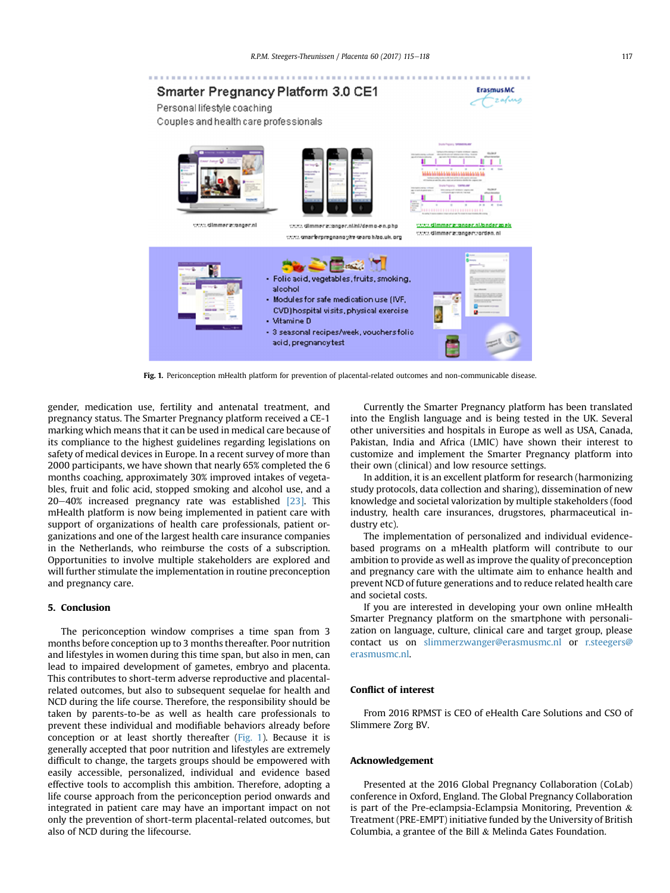

Fig. 1. Periconception mHealth platform for prevention of placental-related outcomes and non-communicable disease.

gender, medication use, fertility and antenatal treatment, and pregnancy status. The Smarter Pregnancy platform received a CE-1 marking which means that it can be used in medical care because of its compliance to the highest guidelines regarding legislations on safety of medical devices in Europe. In a recent survey of more than 2000 participants, we have shown that nearly 65% completed the 6 months coaching, approximately 30% improved intakes of vegetables, fruit and folic acid, stopped smoking and alcohol use, and a  $20-40%$  increased pregnancy rate was established  $[23]$ . This mHealth platform is now being implemented in patient care with support of organizations of health care professionals, patient organizations and one of the largest health care insurance companies in the Netherlands, who reimburse the costs of a subscription. Opportunities to involve multiple stakeholders are explored and will further stimulate the implementation in routine preconception and pregnancy care.

# 5. Conclusion

The periconception window comprises a time span from 3 months before conception up to 3 months thereafter. Poor nutrition and lifestyles in women during this time span, but also in men, can lead to impaired development of gametes, embryo and placenta. This contributes to short-term adverse reproductive and placentalrelated outcomes, but also to subsequent sequelae for health and NCD during the life course. Therefore, the responsibility should be taken by parents-to-be as well as health care professionals to prevent these individual and modifiable behaviors already before conception or at least shortly thereafter (Fig. 1). Because it is generally accepted that poor nutrition and lifestyles are extremely difficult to change, the targets groups should be empowered with easily accessible, personalized, individual and evidence based effective tools to accomplish this ambition. Therefore, adopting a life course approach from the periconception period onwards and integrated in patient care may have an important impact on not only the prevention of short-term placental-related outcomes, but also of NCD during the lifecourse.

Currently the Smarter Pregnancy platform has been translated into the English language and is being tested in the UK. Several other universities and hospitals in Europe as well as USA, Canada, Pakistan, India and Africa (LMIC) have shown their interest to customize and implement the Smarter Pregnancy platform into their own (clinical) and low resource settings.

In addition, it is an excellent platform for research (harmonizing study protocols, data collection and sharing), dissemination of new knowledge and societal valorization by multiple stakeholders (food industry, health care insurances, drugstores, pharmaceutical industry etc).

The implementation of personalized and individual evidencebased programs on a mHealth platform will contribute to our ambition to provide as well as improve the quality of preconception and pregnancy care with the ultimate aim to enhance health and prevent NCD of future generations and to reduce related health care and societal costs.

If you are interested in developing your own online mHealth Smarter Pregnancy platform on the smartphone with personalization on language, culture, clinical care and target group, please contact us on [slimmerzwanger@erasmusmc.nl](mailto:slimmerzwanger@erasmusmc.nl) or [r.steegers@](mailto:r.steegers@erasmusmc.nl) [erasmusmc.nl.](mailto:r.steegers@erasmusmc.nl)

#### Conflict of interest

From 2016 RPMST is CEO of eHealth Care Solutions and CSO of Slimmere Zorg BV.

## Acknowledgement

Presented at the 2016 Global Pregnancy Collaboration (CoLab) conference in Oxford, England. The Global Pregnancy Collaboration is part of the Pre-eclampsia-Eclampsia Monitoring, Prevention  $\&$ Treatment (PRE-EMPT) initiative funded by the University of British Columbia, a grantee of the Bill & Melinda Gates Foundation.